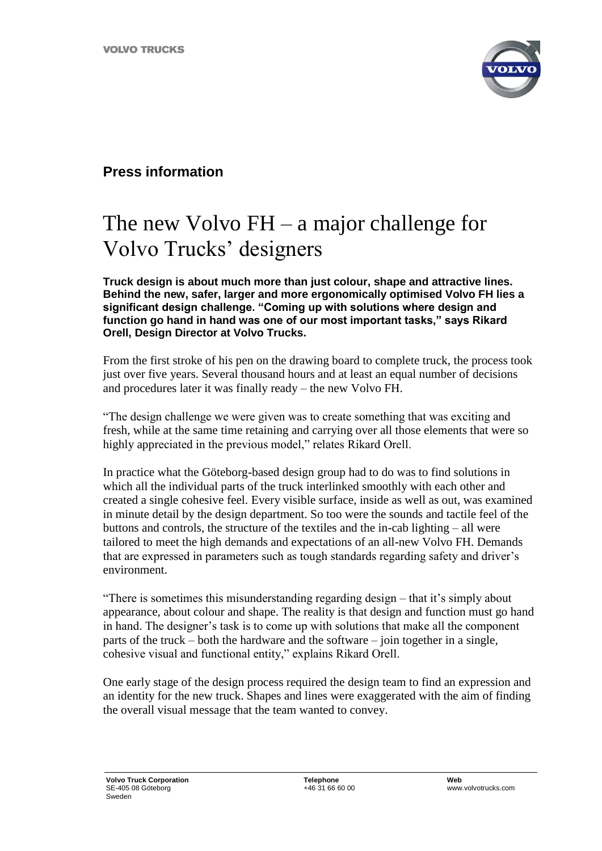

## **Press information**

## The new Volvo FH – a major challenge for Volvo Trucks' designers

**Truck design is about much more than just colour, shape and attractive lines. Behind the new, safer, larger and more ergonomically optimised Volvo FH lies a significant design challenge. "Coming up with solutions where design and function go hand in hand was one of our most important tasks," says Rikard Orell, Design Director at Volvo Trucks.** 

From the first stroke of his pen on the drawing board to complete truck, the process took just over five years. Several thousand hours and at least an equal number of decisions and procedures later it was finally ready – the new Volvo FH.

"The design challenge we were given was to create something that was exciting and fresh, while at the same time retaining and carrying over all those elements that were so highly appreciated in the previous model," relates Rikard Orell.

In practice what the Göteborg-based design group had to do was to find solutions in which all the individual parts of the truck interlinked smoothly with each other and created a single cohesive feel. Every visible surface, inside as well as out, was examined in minute detail by the design department. So too were the sounds and tactile feel of the buttons and controls, the structure of the textiles and the in-cab lighting – all were tailored to meet the high demands and expectations of an all-new Volvo FH. Demands that are expressed in parameters such as tough standards regarding safety and driver's environment.

"There is sometimes this misunderstanding regarding design – that it's simply about appearance, about colour and shape. The reality is that design and function must go hand in hand. The designer's task is to come up with solutions that make all the component parts of the truck – both the hardware and the software – join together in a single, cohesive visual and functional entity," explains Rikard Orell.

One early stage of the design process required the design team to find an expression and an identity for the new truck. Shapes and lines were exaggerated with the aim of finding the overall visual message that the team wanted to convey.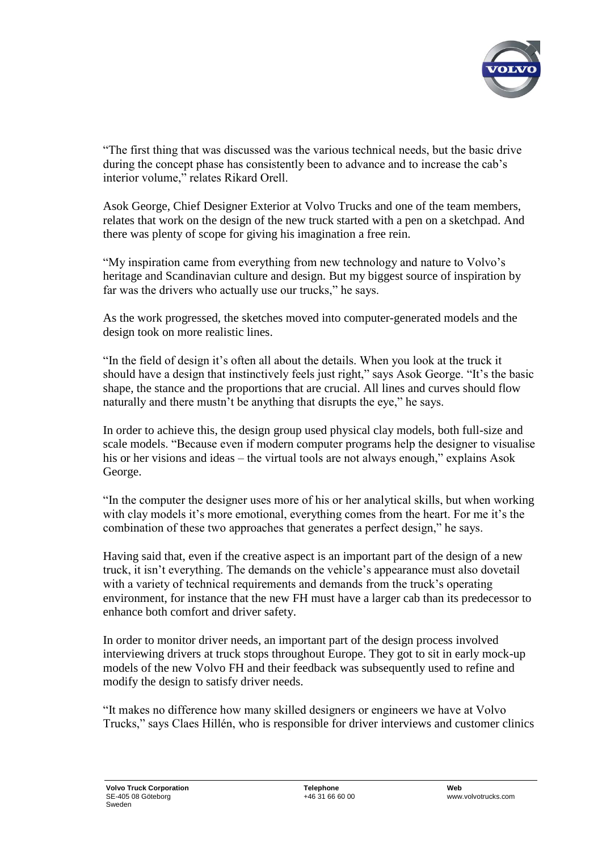

"The first thing that was discussed was the various technical needs, but the basic drive during the concept phase has consistently been to advance and to increase the cab's interior volume," relates Rikard Orell.

Asok George, Chief Designer Exterior at Volvo Trucks and one of the team members, relates that work on the design of the new truck started with a pen on a sketchpad. And there was plenty of scope for giving his imagination a free rein.

"My inspiration came from everything from new technology and nature to Volvo's heritage and Scandinavian culture and design. But my biggest source of inspiration by far was the drivers who actually use our trucks," he says.

As the work progressed, the sketches moved into computer-generated models and the design took on more realistic lines.

"In the field of design it's often all about the details. When you look at the truck it should have a design that instinctively feels just right," says Asok George. "It's the basic shape, the stance and the proportions that are crucial. All lines and curves should flow naturally and there mustn't be anything that disrupts the eye," he says.

In order to achieve this, the design group used physical clay models, both full-size and scale models. "Because even if modern computer programs help the designer to visualise his or her visions and ideas – the virtual tools are not always enough," explains Asok George.

"In the computer the designer uses more of his or her analytical skills, but when working with clay models it's more emotional, everything comes from the heart. For me it's the combination of these two approaches that generates a perfect design," he says.

Having said that, even if the creative aspect is an important part of the design of a new truck, it isn't everything. The demands on the vehicle's appearance must also dovetail with a variety of technical requirements and demands from the truck's operating environment, for instance that the new FH must have a larger cab than its predecessor to enhance both comfort and driver safety.

In order to monitor driver needs, an important part of the design process involved interviewing drivers at truck stops throughout Europe. They got to sit in early mock-up models of the new Volvo FH and their feedback was subsequently used to refine and modify the design to satisfy driver needs.

"It makes no difference how many skilled designers or engineers we have at Volvo Trucks," says Claes Hillén, who is responsible for driver interviews and customer clinics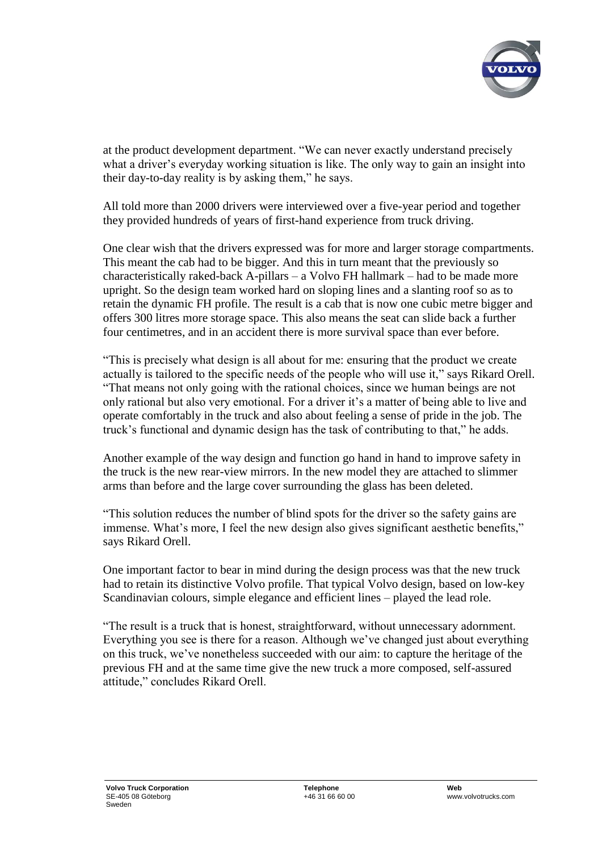

at the product development department. "We can never exactly understand precisely what a driver's everyday working situation is like. The only way to gain an insight into their day-to-day reality is by asking them," he says.

All told more than 2000 drivers were interviewed over a five-year period and together they provided hundreds of years of first-hand experience from truck driving.

One clear wish that the drivers expressed was for more and larger storage compartments. This meant the cab had to be bigger. And this in turn meant that the previously so characteristically raked-back A-pillars – a Volvo FH hallmark – had to be made more upright. So the design team worked hard on sloping lines and a slanting roof so as to retain the dynamic FH profile. The result is a cab that is now one cubic metre bigger and offers 300 litres more storage space. This also means the seat can slide back a further four centimetres, and in an accident there is more survival space than ever before.

"This is precisely what design is all about for me: ensuring that the product we create actually is tailored to the specific needs of the people who will use it," says Rikard Orell. "That means not only going with the rational choices, since we human beings are not only rational but also very emotional. For a driver it's a matter of being able to live and operate comfortably in the truck and also about feeling a sense of pride in the job. The truck's functional and dynamic design has the task of contributing to that," he adds.

Another example of the way design and function go hand in hand to improve safety in the truck is the new rear-view mirrors. In the new model they are attached to slimmer arms than before and the large cover surrounding the glass has been deleted.

"This solution reduces the number of blind spots for the driver so the safety gains are immense. What's more, I feel the new design also gives significant aesthetic benefits," says Rikard Orell.

One important factor to bear in mind during the design process was that the new truck had to retain its distinctive Volvo profile. That typical Volvo design, based on low-key Scandinavian colours, simple elegance and efficient lines – played the lead role.

"The result is a truck that is honest, straightforward, without unnecessary adornment. Everything you see is there for a reason. Although we've changed just about everything on this truck, we've nonetheless succeeded with our aim: to capture the heritage of the previous FH and at the same time give the new truck a more composed, self-assured attitude," concludes Rikard Orell.